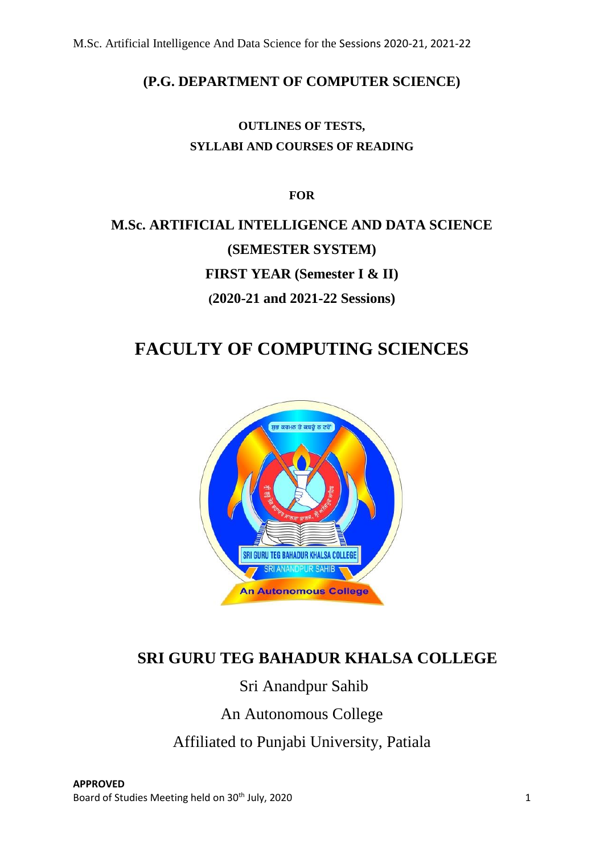## **(P.G. DEPARTMENT OF COMPUTER SCIENCE)**

## **OUTLINES OF TESTS, SYLLABI AND COURSES OF READING**

**FOR**

# **M.Sc. ARTIFICIAL INTELLIGENCE AND DATA SCIENCE (SEMESTER SYSTEM) FIRST YEAR (Semester I & II) (2020-21 and 2021-22 Sessions)**

# **FACULTY OF COMPUTING SCIENCES**



# **SRI GURU TEG BAHADUR KHALSA COLLEGE**

Sri Anandpur Sahib

# An Autonomous College

Affiliated to Punjabi University, Patiala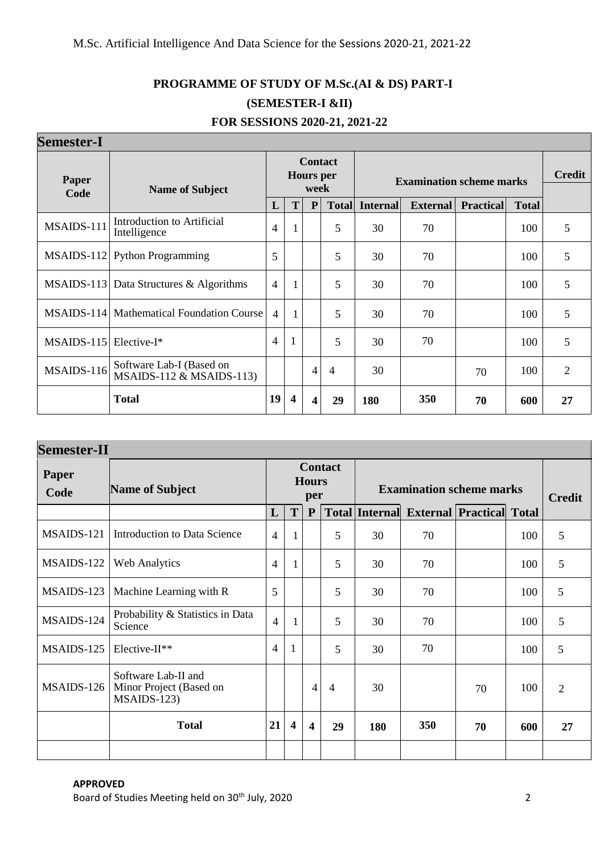# **PROGRAMME OF STUDY OF M.Sc.(AI & DS) PART-I (SEMESTER-I &II)**

| <b>Semester-I</b> |                                                        |                |                  |                          |                |                                 |                 |                  |               |                |
|-------------------|--------------------------------------------------------|----------------|------------------|--------------------------|----------------|---------------------------------|-----------------|------------------|---------------|----------------|
| Paper<br>Code     | <b>Name of Subject</b>                                 |                |                  | <b>Hours</b> per<br>week | <b>Contact</b> | <b>Examination scheme marks</b> |                 |                  | <b>Credit</b> |                |
|                   |                                                        | L              | T                | P                        | <b>Total</b>   | <b>Internal</b>                 | <b>External</b> | <b>Practical</b> | <b>Total</b>  |                |
| MSAIDS-111        | Introduction to Artificial<br>Intelligence             | 4              | $\mathbf{1}$     |                          | 5              | 30                              | 70              |                  | 100           | 5              |
| MSAIDS-112        | <b>Python Programming</b>                              | 5              |                  |                          | 5              | 30                              | 70              |                  | 100           | 5              |
|                   | MSAIDS-113 Data Structures $&$ Algorithms              | $\overline{4}$ | $\mathbf{1}$     |                          | 5              | 30                              | 70              |                  | 100           | 5              |
|                   | MSAIDS-114   Mathematical Foundation Course            | 4              | $\mathbf{1}$     |                          | 5              | 30                              | 70              |                  | 100           | 5              |
| $MSAIDS-115$      | $Elective-I*$                                          | 4              | $\mathbf{1}$     |                          | 5              | 30                              | 70              |                  | 100           | 5              |
| MSAIDS-116        | Software Lab-I (Based on<br>$MSAIDS-112 \& MSAIDS-113$ |                |                  | 4                        | $\overline{4}$ | 30                              |                 | 70               | 100           | $\overline{2}$ |
|                   | <b>Total</b>                                           | 19             | $\boldsymbol{4}$ | 4                        | 29             | 180                             | 350             | 70               | 600           | 27             |

| FOR SESSIONS 2020-21, 2021-22 |  |
|-------------------------------|--|
|                               |  |

| <b>Semester-II</b> |                                                                |                                       |                         |                                 |                |                       |                                 |               |     |                |
|--------------------|----------------------------------------------------------------|---------------------------------------|-------------------------|---------------------------------|----------------|-----------------------|---------------------------------|---------------|-----|----------------|
| Paper<br>Code      | <b>Name of Subject</b>                                         | <b>Contact</b><br><b>Hours</b><br>per |                         | <b>Examination scheme marks</b> |                |                       |                                 | <b>Credit</b> |     |                |
|                    |                                                                | L                                     | T                       | ${\bf P}$                       |                | <b>Total Internal</b> | <b>External Practical Total</b> |               |     |                |
| MSAIDS-121         | <b>Introduction to Data Science</b>                            | $\overline{4}$                        | 1                       |                                 | 5              | 30                    | 70                              |               | 100 | 5              |
| MSAIDS-122         | <b>Web Analytics</b>                                           | $\overline{4}$                        | 1                       |                                 | 5              | 30                    | 70                              |               | 100 | 5              |
| MSAIDS-123         | Machine Learning with R                                        | 5                                     |                         |                                 | 5              | 30                    | 70                              |               | 100 | 5              |
| MSAIDS-124         | Probability & Statistics in Data<br>Science                    | $\overline{4}$                        | 1                       |                                 | 5              | 30                    | 70                              |               | 100 | 5              |
| MSAIDS-125         | $Elective-II**$                                                | $\overline{4}$                        | 1                       |                                 | 5              | 30                    | 70                              |               | 100 | 5              |
| MSAIDS-126         | Software Lab-II and<br>Minor Project (Based on<br>$MSAIDS-123$ |                                       |                         | 4                               | $\overline{4}$ | 30                    |                                 | 70            | 100 | $\overline{2}$ |
|                    | <b>Total</b>                                                   | 21                                    | $\overline{\mathbf{4}}$ | $\overline{\mathbf{4}}$         | 29             | 180                   | 350                             | 70            | 600 | 27             |
|                    |                                                                |                                       |                         |                                 |                |                       |                                 |               |     |                |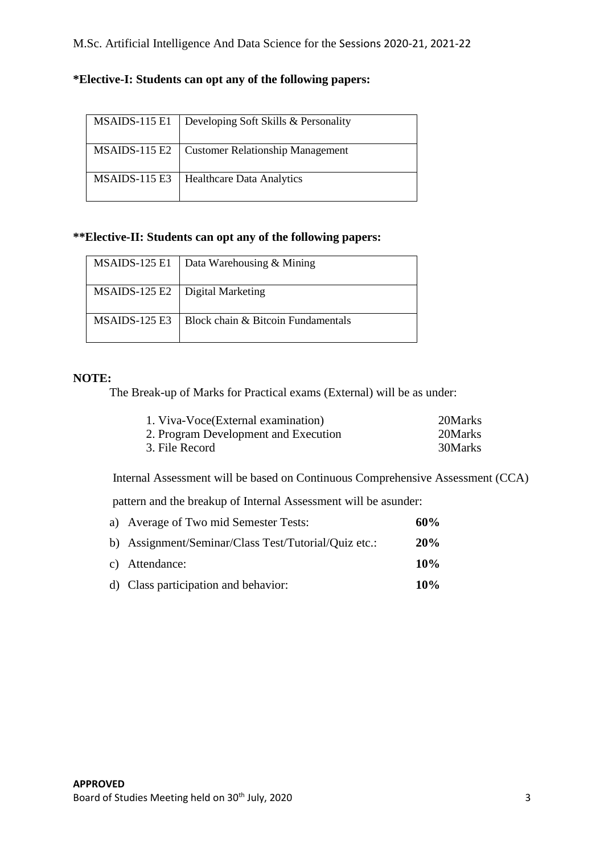| MSAIDS-115 E1 | Developing Soft Skills & Personality    |
|---------------|-----------------------------------------|
| MSAIDS-115 E2 | <b>Customer Relationship Management</b> |
| MSAIDS-115 E3 | <b>Healthcare Data Analytics</b>        |

## **\*Elective-I: Students can opt any of the following papers:**

## **\*\*Elective-II: Students can opt any of the following papers:**

|                                   | MSAIDS-125 E1   Data Warehousing & Mining            |
|-----------------------------------|------------------------------------------------------|
| MSAIDS-125 E2   Digital Marketing |                                                      |
|                                   | $MSAIDS-125 E3$   Block chain & Bitcoin Fundamentals |

## **NOTE:**

The Break-up of Marks for Practical exams (External) will be as under:

| 1. Viva-Voce(External examination)   | 20Marks |
|--------------------------------------|---------|
| 2. Program Development and Execution | 20Marks |
| 3. File Record                       | 30Marks |

Internal Assessment will be based on Continuous Comprehensive Assessment (CCA)

pattern and the breakup of Internal Assessment will be asunder:

| a) Average of Two mid Semester Tests:                | 60% |
|------------------------------------------------------|-----|
| b) Assignment/Seminar/Class Test/Tutorial/Quiz etc.: | 20% |
| c) Attendance:                                       | 10% |
| d) Class participation and behavior:                 | 10% |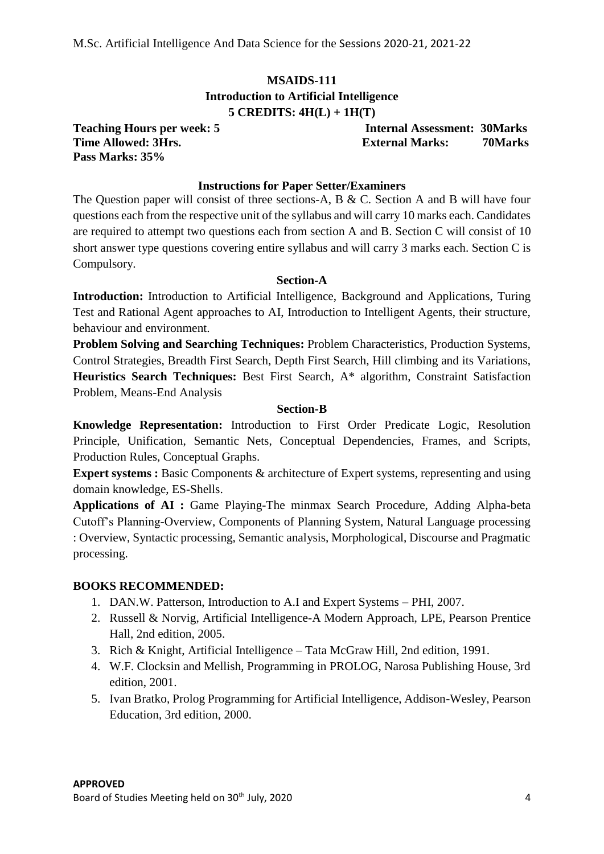## **MSAIDS-111 Introduction to Artificial Intelligence 5 CREDITS: 4H(L) + 1H(T)**

**Pass Marks: 35%**

**Teaching Hours per week: 5 Internal Assessment: 30Marks Time Allowed: 3Hrs. External Marks: 70Marks**

## **Instructions for Paper Setter/Examiners**

The Question paper will consist of three sections-A, B & C. Section A and B will have four questions each from the respective unit of the syllabus and will carry 10 marks each. Candidates are required to attempt two questions each from section A and B. Section C will consist of 10 short answer type questions covering entire syllabus and will carry 3 marks each. Section C is Compulsory.

#### **Section-A**

**Introduction:** Introduction to Artificial Intelligence, Background and Applications, Turing Test and Rational Agent approaches to AI, Introduction to Intelligent Agents, their structure, behaviour and environment.

**Problem Solving and Searching Techniques:** Problem Characteristics, Production Systems, Control Strategies, Breadth First Search, Depth First Search, Hill climbing and its Variations, **Heuristics Search Techniques:** Best First Search, A\* algorithm, Constraint Satisfaction Problem, Means-End Analysis

#### **Section-B**

**Knowledge Representation:** Introduction to First Order Predicate Logic, Resolution Principle, Unification, Semantic Nets, Conceptual Dependencies, Frames, and Scripts, Production Rules, Conceptual Graphs.

**Expert systems :** Basic Components & architecture of Expert systems, representing and using domain knowledge, ES-Shells.

**Applications of AI :** Game Playing-The minmax Search Procedure, Adding Alpha-beta Cutoff's Planning-Overview, Components of Planning System, Natural Language processing : Overview, Syntactic processing, Semantic analysis, Morphological, Discourse and Pragmatic processing.

#### **BOOKS RECOMMENDED:**

- 1. DAN.W. Patterson, Introduction to A.I and Expert Systems PHI, 2007.
- 2. Russell & Norvig, Artificial Intelligence-A Modern Approach, LPE, Pearson Prentice Hall, 2nd edition, 2005.
- 3. Rich & Knight, Artificial Intelligence Tata McGraw Hill, 2nd edition, 1991.
- 4. W.F. Clocksin and Mellish, Programming in PROLOG, Narosa Publishing House, 3rd edition, 2001.
- 5. Ivan Bratko, Prolog Programming for Artificial Intelligence, Addison-Wesley, Pearson Education, 3rd edition, 2000.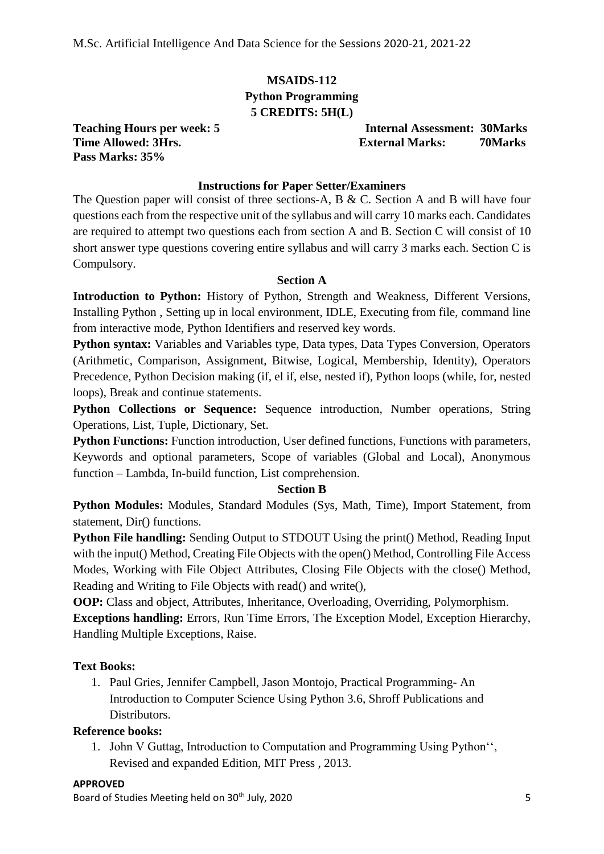## **MSAIDS-112 Python Programming 5 CREDITS: 5H(L)**

**Pass Marks: 35%**

**Teaching Hours per week: 5 Internal Assessment: 30Marks Time Allowed: 3Hrs. External Marks: 70Marks**

## **Instructions for Paper Setter/Examiners**

The Question paper will consist of three sections-A, B & C. Section A and B will have four questions each from the respective unit of the syllabus and will carry 10 marks each. Candidates are required to attempt two questions each from section A and B. Section C will consist of 10 short answer type questions covering entire syllabus and will carry 3 marks each. Section C is Compulsory.

#### **Section A**

**Introduction to Python:** History of Python, Strength and Weakness, Different Versions, Installing Python , Setting up in local environment, IDLE, Executing from file, command line from interactive mode, Python Identifiers and reserved key words.

**Python syntax:** Variables and Variables type, Data types, Data Types Conversion, Operators (Arithmetic, Comparison, Assignment, Bitwise, Logical, Membership, Identity), Operators Precedence, Python Decision making (if, el if, else, nested if), Python loops (while, for, nested loops), Break and continue statements.

**Python Collections or Sequence:** Sequence introduction, Number operations, String Operations, List, Tuple, Dictionary, Set.

**Python Functions:** Function introduction, User defined functions, Functions with parameters, Keywords and optional parameters, Scope of variables (Global and Local), Anonymous function – Lambda, In-build function, List comprehension.

#### **Section B**

**Python Modules:** Modules, Standard Modules (Sys, Math, Time), Import Statement, from statement, Dir() functions.

**Python File handling:** Sending Output to STDOUT Using the print() Method, Reading Input with the input() Method, Creating File Objects with the open() Method, Controlling File Access Modes, Working with File Object Attributes, Closing File Objects with the close() Method, Reading and Writing to File Objects with read() and write(),

**OOP:** Class and object, Attributes, Inheritance, Overloading, Overriding, Polymorphism. **Exceptions handling:** Errors, Run Time Errors, The Exception Model, Exception Hierarchy, Handling Multiple Exceptions, Raise.

## **Text Books:**

1. Paul Gries, Jennifer Campbell, Jason Montojo, Practical Programming- An Introduction to Computer Science Using Python 3.6, Shroff Publications and Distributors.

## **Reference books:**

1. John V Guttag, Introduction to Computation and Programming Using Python'', Revised and expanded Edition, MIT Press , 2013.

#### **APPROVED**

Board of Studies Meeting held on 30<sup>th</sup> July, 2020 5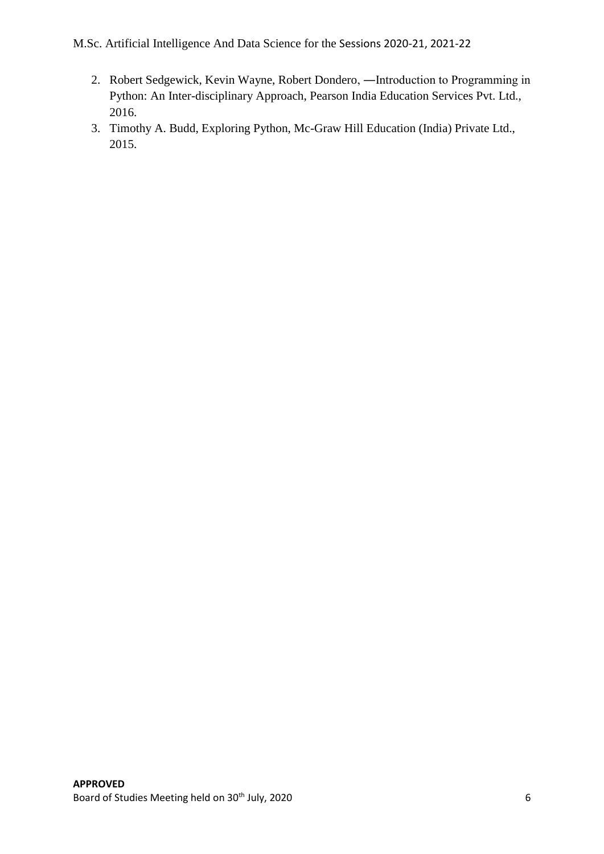- 2. Robert Sedgewick, Kevin Wayne, Robert Dondero, ―Introduction to Programming in Python: An Inter-disciplinary Approach, Pearson India Education Services Pvt. Ltd., 2016.
- 3. Timothy A. Budd, Exploring Python, Mc-Graw Hill Education (India) Private Ltd., 2015.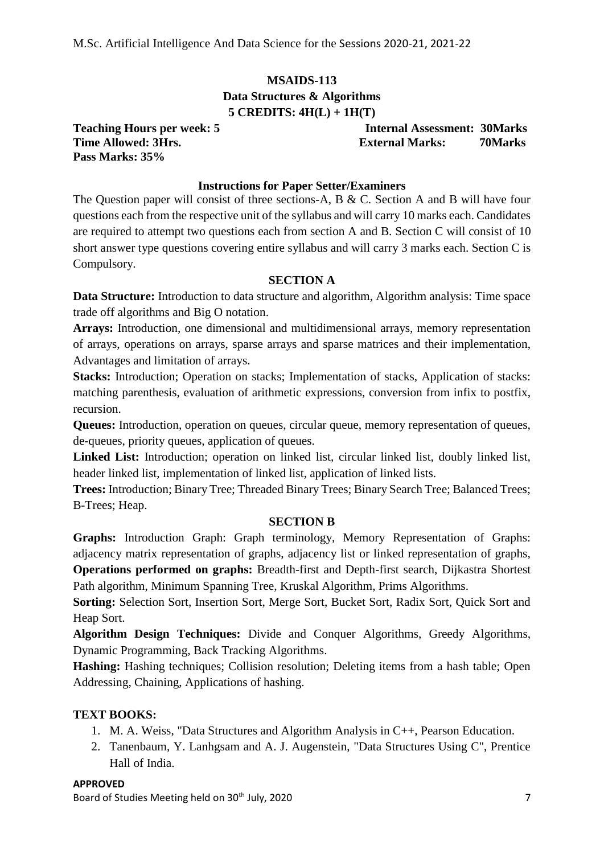## **MSAIDS-113 Data Structures & Algorithms 5 CREDITS: 4H(L) + 1H(T)**

**Pass Marks: 35%**

**Teaching Hours per week: 5 Internal Assessment: 30Marks Time Allowed: 3Hrs. External Marks: 70Marks**

## **Instructions for Paper Setter/Examiners**

The Question paper will consist of three sections-A, B & C. Section A and B will have four questions each from the respective unit of the syllabus and will carry 10 marks each. Candidates are required to attempt two questions each from section A and B. Section C will consist of 10 short answer type questions covering entire syllabus and will carry 3 marks each. Section C is Compulsory.

## **SECTION A**

**Data Structure:** Introduction to data structure and algorithm, Algorithm analysis: Time space trade off algorithms and Big O notation.

**Arrays:** Introduction, one dimensional and multidimensional arrays, memory representation of arrays, operations on arrays, sparse arrays and sparse matrices and their implementation, Advantages and limitation of arrays.

**Stacks:** Introduction; Operation on stacks; Implementation of stacks, Application of stacks: matching parenthesis, evaluation of arithmetic expressions, conversion from infix to postfix, recursion.

**Queues:** Introduction, operation on queues, circular queue, memory representation of queues, de-queues, priority queues, application of queues.

**Linked List:** Introduction; operation on linked list, circular linked list, doubly linked list, header linked list, implementation of linked list, application of linked lists.

**Trees:** Introduction; Binary Tree; Threaded Binary Trees; Binary Search Tree; Balanced Trees; B-Trees; Heap.

#### **SECTION B**

**Graphs:** Introduction Graph: Graph terminology, Memory Representation of Graphs: adjacency matrix representation of graphs, adjacency list or linked representation of graphs, **Operations performed on graphs:** Breadth-first and Depth-first search, Dijkastra Shortest Path algorithm, Minimum Spanning Tree, Kruskal Algorithm, Prims Algorithms.

**Sorting:** Selection Sort, Insertion Sort, Merge Sort, Bucket Sort, Radix Sort, Quick Sort and Heap Sort.

**Algorithm Design Techniques:** Divide and Conquer Algorithms, Greedy Algorithms, Dynamic Programming, Back Tracking Algorithms.

**Hashing:** Hashing techniques; Collision resolution; Deleting items from a hash table; Open Addressing, Chaining, Applications of hashing.

## **TEXT BOOKS:**

- 1. M. A. Weiss, "Data Structures and Algorithm Analysis in C++, Pearson Education.
- 2. Tanenbaum, Y. Lanhgsam and A. J. Augenstein, "Data Structures Using C", Prentice Hall of India.

#### **APPROVED**

Board of Studies Meeting held on 30<sup>th</sup> July, 2020 **7** and 20th *7* and 20th *7* and 20th *7* and 20th *7* and 20th *7* and 20th *7* and 20th *7* and 20th *7* and 20th *7* and 20th *7* and 20th *7* and 20th *7* and 20th *7*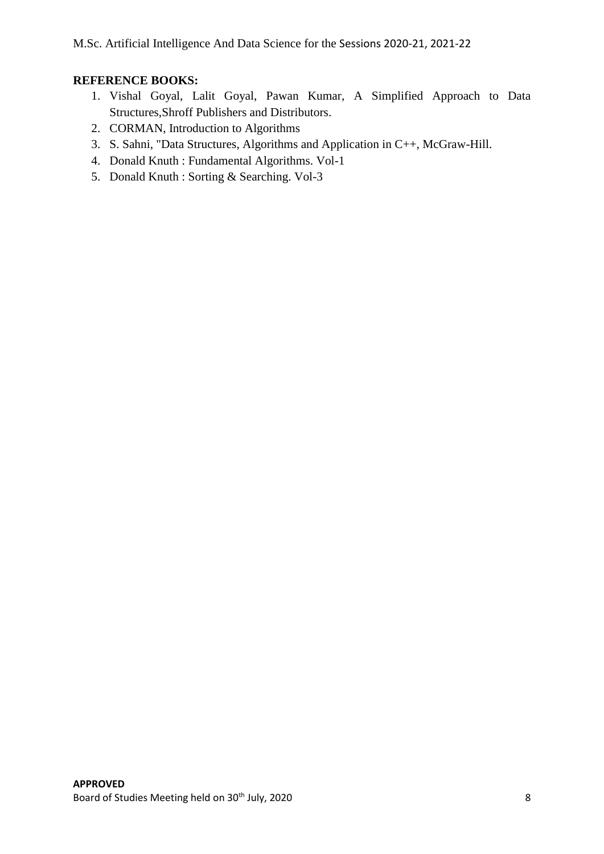## **REFERENCE BOOKS:**

- 1. Vishal Goyal, Lalit Goyal, Pawan Kumar, A Simplified Approach to Data Structures,Shroff Publishers and Distributors.
- 2. CORMAN, Introduction to Algorithms
- 3. S. Sahni, "Data Structures, Algorithms and Application in C++, McGraw-Hill.
- 4. Donald Knuth : Fundamental Algorithms. Vol-1
- 5. Donald Knuth : Sorting & Searching. Vol-3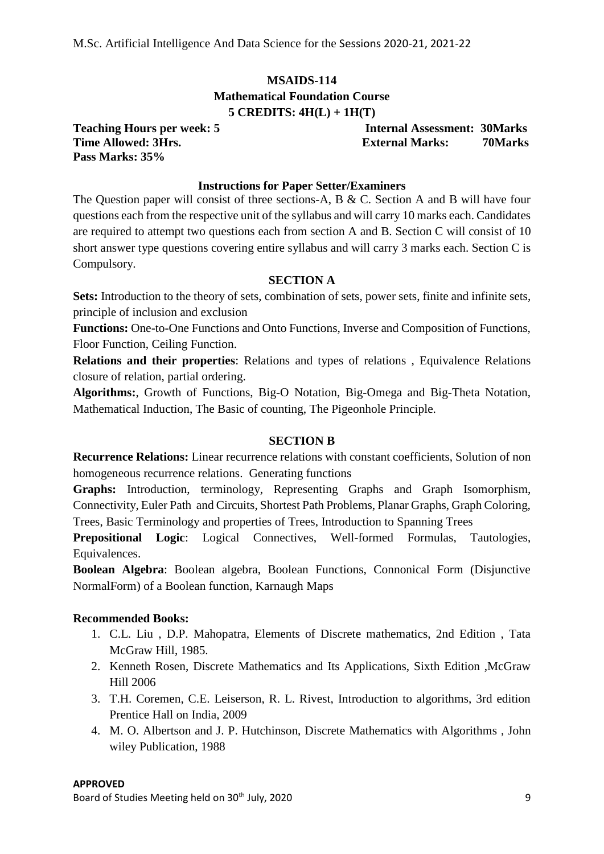## **MSAIDS-114 Mathematical Foundation Course 5 CREDITS: 4H(L) + 1H(T)**

**Pass Marks: 35%**

**Teaching Hours per week: 5 Internal Assessment: 30Marks Time Allowed: 3Hrs.** External Marks: 70Marks: 70Marks

## **Instructions for Paper Setter/Examiners**

The Question paper will consist of three sections-A, B & C. Section A and B will have four questions each from the respective unit of the syllabus and will carry 10 marks each. Candidates are required to attempt two questions each from section A and B. Section C will consist of 10 short answer type questions covering entire syllabus and will carry 3 marks each. Section C is Compulsory.

## **SECTION A**

**Sets:** Introduction to the theory of sets, combination of sets, power sets, finite and infinite sets, principle of inclusion and exclusion

**Functions:** One-to-One Functions and Onto Functions, Inverse and Composition of Functions, Floor Function, Ceiling Function.

**Relations and their properties**: Relations and types of relations , Equivalence Relations closure of relation, partial ordering.

**Algorithms:**, Growth of Functions, Big-O Notation, Big-Omega and Big-Theta Notation, Mathematical Induction, The Basic of counting, The Pigeonhole Principle.

## **SECTION B**

**Recurrence Relations:** Linear recurrence relations with constant coefficients, Solution of non homogeneous recurrence relations. Generating functions

Graphs: Introduction, terminology, Representing Graphs and Graph Isomorphism, Connectivity, Euler Path and Circuits, Shortest Path Problems, Planar Graphs, Graph Coloring, Trees, Basic Terminology and properties of Trees, Introduction to Spanning Trees

**Prepositional Logic**: Logical Connectives, Well-formed Formulas, Tautologies, Equivalences.

**Boolean Algebra**: Boolean algebra, Boolean Functions, Connonical Form (Disjunctive NormalForm) of a Boolean function, Karnaugh Maps

## **Recommended Books:**

- 1. C.L. Liu , D.P. Mahopatra, Elements of Discrete mathematics, 2nd Edition , Tata McGraw Hill, 1985.
- 2. Kenneth Rosen, Discrete Mathematics and Its Applications, Sixth Edition ,McGraw Hill 2006
- 3. T.H. Coremen, C.E. Leiserson, R. L. Rivest, Introduction to algorithms, 3rd edition Prentice Hall on India, 2009
- 4. M. O. Albertson and J. P. Hutchinson, Discrete Mathematics with Algorithms , John wiley Publication, 1988

#### **APPROVED**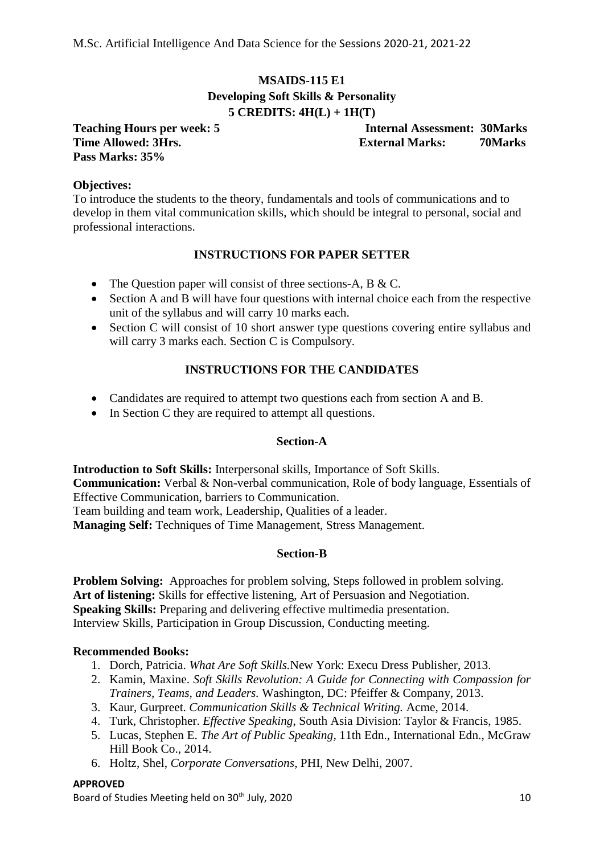## **MSAIDS-115 E1 Developing Soft Skills & Personality 5 CREDITS: 4H(L) + 1H(T)**

**Pass Marks: 35%**

**Teaching Hours per week: 5 Internal Assessment: 30Marks Time Allowed: 3Hrs. External Marks: 70Marks**

## **Objectives:**

To introduce the students to the theory, fundamentals and tools of communications and to develop in them vital communication skills, which should be integral to personal, social and professional interactions.

## **INSTRUCTIONS FOR PAPER SETTER**

- The Question paper will consist of three sections-A, B & C.
- Section A and B will have four questions with internal choice each from the respective unit of the syllabus and will carry 10 marks each.
- Section C will consist of 10 short answer type questions covering entire syllabus and will carry 3 marks each. Section C is Compulsory.

## **INSTRUCTIONS FOR THE CANDIDATES**

- Candidates are required to attempt two questions each from section A and B.
- In Section C they are required to attempt all questions.

## **Section-A**

**Introduction to Soft Skills:** Interpersonal skills, Importance of Soft Skills. **Communication:** Verbal & Non-verbal communication, Role of body language, Essentials of Effective Communication, barriers to Communication. Team building and team work, Leadership, Qualities of a leader. **Managing Self:** Techniques of Time Management, Stress Management.

#### **Section-B**

**Problem Solving:** Approaches for problem solving, Steps followed in problem solving. **Art of listening:** Skills for effective listening, Art of Persuasion and Negotiation. **Speaking Skills:** Preparing and delivering effective multimedia presentation. Interview Skills, Participation in Group Discussion, Conducting meeting.

#### **Recommended Books:**

- 1. Dorch, Patricia. *What Are Soft Skills.*New York: Execu Dress Publisher, 2013.
- 2. Kamin, Maxine. *Soft Skills Revolution: A Guide for Connecting with Compassion for Trainers, Teams, and Leaders.* Washington, DC: Pfeiffer & Company, 2013.
- 3. Kaur, Gurpreet. *Communication Skills & Technical Writing.* Acme, 2014.
- 4. Turk, Christopher. *Effective Speaking*, South Asia Division: Taylor & Francis, 1985.
- 5. Lucas, Stephen E. *The Art of Public Speaking*, 11th Edn., International Edn., McGraw Hill Book Co., 2014.
- 6. Holtz, Shel, *Corporate Conversations*, PHI, New Delhi, 2007.

#### **APPROVED**

Board of Studies Meeting held on 30<sup>th</sup> July, 2020 10 10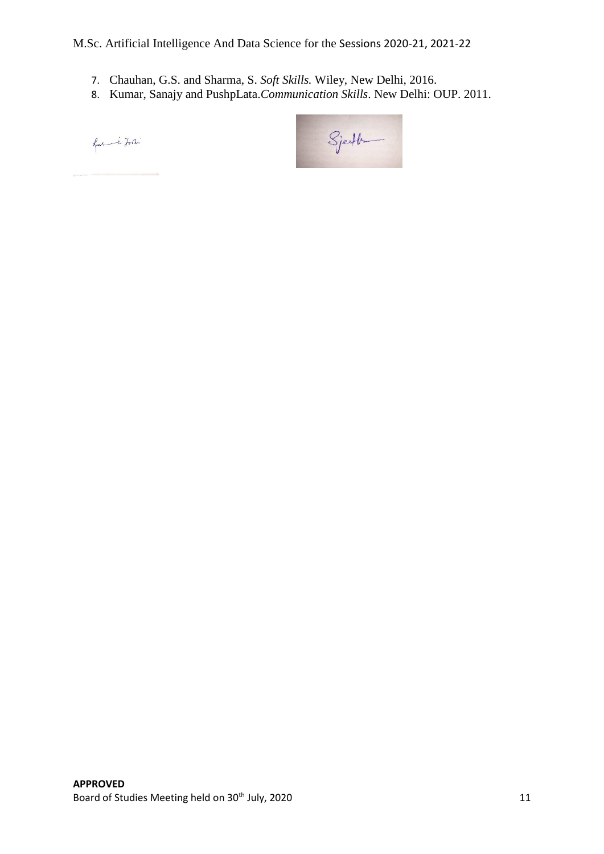- 7. Chauhan, G.S. and Sharma, S. *Soft Skills.* Wiley, New Delhi, 2016.
- 8. Kumar, Sanajy and PushpLata.*Communication Skills*. New Delhi: OUP. 2011.

fresh in John

 $\begin{picture}(22,10) \put(0,0){\line(1,0){10}} \put(15,0){\line(1,0){10}} \put(15,0){\line(1,0){10}} \put(15,0){\line(1,0){10}} \put(15,0){\line(1,0){10}} \put(15,0){\line(1,0){10}} \put(15,0){\line(1,0){10}} \put(15,0){\line(1,0){10}} \put(15,0){\line(1,0){10}} \put(15,0){\line(1,0){10}} \put(15,0){\line(1,0){10}} \put(15,0){\line(1$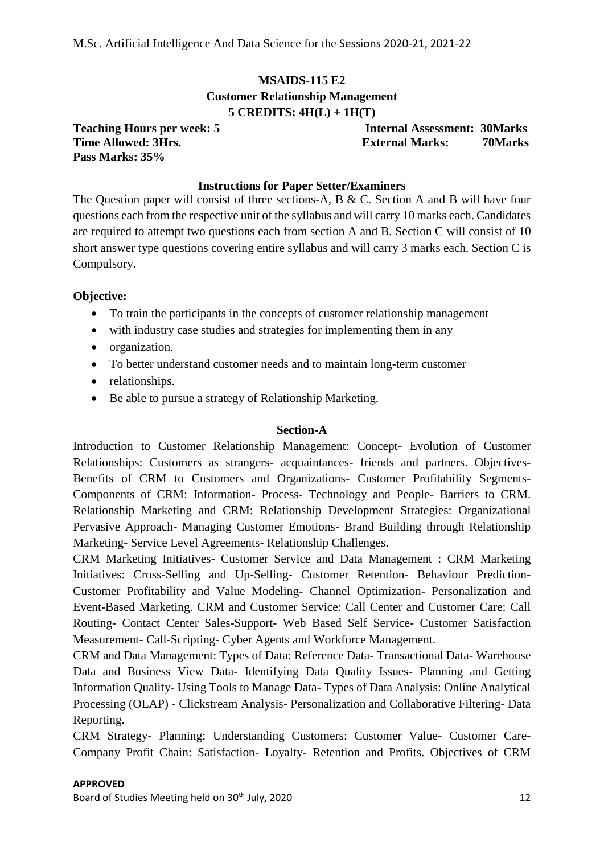## **MSAIDS-115 E2 Customer Relationship Management 5 CREDITS: 4H(L) + 1H(T)**

**Pass Marks: 35%**

**Teaching Hours per week: 5 Internal Assessment: 30Marks Time Allowed: 3Hrs.** External Marks: 70Marks: 70Marks

## **Instructions for Paper Setter/Examiners**

The Question paper will consist of three sections-A, B & C. Section A and B will have four questions each from the respective unit of the syllabus and will carry 10 marks each. Candidates are required to attempt two questions each from section A and B. Section C will consist of 10 short answer type questions covering entire syllabus and will carry 3 marks each. Section C is Compulsory.

#### **Objective:**

- To train the participants in the concepts of customer relationship management
- with industry case studies and strategies for implementing them in any
- organization.
- To better understand customer needs and to maintain long-term customer
- relationships.
- Be able to pursue a strategy of Relationship Marketing.

#### **Section-A**

Introduction to Customer Relationship Management: Concept- Evolution of Customer Relationships: Customers as strangers- acquaintances- friends and partners. Objectives-Benefits of CRM to Customers and Organizations- Customer Profitability Segments-Components of CRM: Information- Process- Technology and People- Barriers to CRM. Relationship Marketing and CRM: Relationship Development Strategies: Organizational Pervasive Approach- Managing Customer Emotions- Brand Building through Relationship Marketing- Service Level Agreements- Relationship Challenges.

CRM Marketing Initiatives- Customer Service and Data Management : CRM Marketing Initiatives: Cross-Selling and Up-Selling- Customer Retention- Behaviour Prediction-Customer Profitability and Value Modeling- Channel Optimization- Personalization and Event-Based Marketing. CRM and Customer Service: Call Center and Customer Care: Call Routing- Contact Center Sales-Support- Web Based Self Service- Customer Satisfaction Measurement- Call-Scripting- Cyber Agents and Workforce Management.

CRM and Data Management: Types of Data: Reference Data- Transactional Data- Warehouse Data and Business View Data- Identifying Data Quality Issues- Planning and Getting Information Quality- Using Tools to Manage Data- Types of Data Analysis: Online Analytical Processing (OLAP) - Clickstream Analysis- Personalization and Collaborative Filtering- Data Reporting.

CRM Strategy- Planning: Understanding Customers: Customer Value- Customer Care-Company Profit Chain: Satisfaction- Loyalty- Retention and Profits. Objectives of CRM

#### **APPROVED**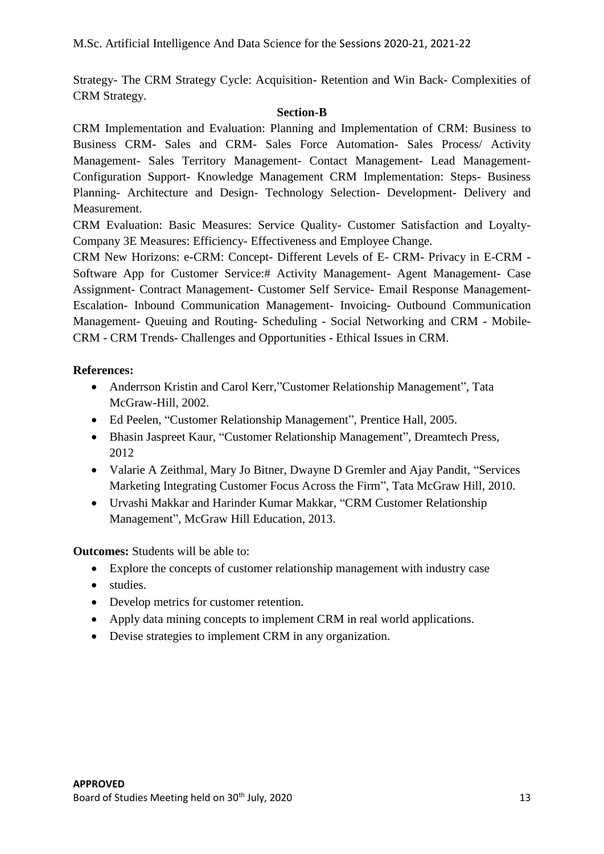Strategy- The CRM Strategy Cycle: Acquisition- Retention and Win Back- Complexities of CRM Strategy.

## **Section-B**

CRM Implementation and Evaluation: Planning and Implementation of CRM: Business to Business CRM- Sales and CRM- Sales Force Automation- Sales Process/ Activity Management- Sales Territory Management- Contact Management- Lead Management-Configuration Support- Knowledge Management CRM Implementation: Steps- Business Planning- Architecture and Design- Technology Selection- Development- Delivery and Measurement.

CRM Evaluation: Basic Measures: Service Quality- Customer Satisfaction and Loyalty-Company 3E Measures: Efficiency- Effectiveness and Employee Change.

CRM New Horizons: e-CRM: Concept- Different Levels of E- CRM- Privacy in E-CRM - Software App for Customer Service:# Activity Management- Agent Management- Case Assignment- Contract Management- Customer Self Service- Email Response Management-Escalation- Inbound Communication Management- Invoicing- Outbound Communication Management- Queuing and Routing- Scheduling - Social Networking and CRM - Mobile-CRM - CRM Trends- Challenges and Opportunities - Ethical Issues in CRM.

## **References:**

- Anderrson Kristin and Carol Kerr,"Customer Relationship Management", Tata McGraw-Hill, 2002.
- Ed Peelen, "Customer Relationship Management", Prentice Hall, 2005.
- Bhasin Jaspreet Kaur, "Customer Relationship Management", Dreamtech Press, 2012
- Valarie A Zeithmal, Mary Jo Bitner, Dwayne D Gremler and Ajay Pandit, "Services Marketing Integrating Customer Focus Across the Firm", Tata McGraw Hill, 2010.
- Urvashi Makkar and Harinder Kumar Makkar, "CRM Customer Relationship Management", McGraw Hill Education, 2013.

**Outcomes:** Students will be able to:

- Explore the concepts of customer relationship management with industry case
- studies.
- Develop metrics for customer retention.
- Apply data mining concepts to implement CRM in real world applications.
- Devise strategies to implement CRM in any organization.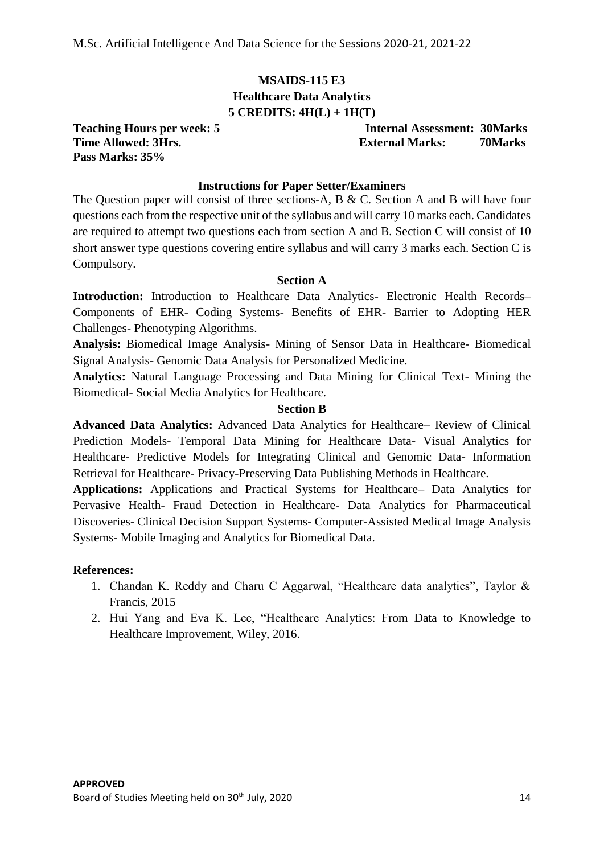## **MSAIDS-115 E3 Healthcare Data Analytics 5 CREDITS: 4H(L) + 1H(T)**

**Pass Marks: 35%**

**Teaching Hours per week: 5 Internal Assessment: 30Marks Time Allowed: 3Hrs. External Marks: 70Marks**

#### **Instructions for Paper Setter/Examiners**

The Question paper will consist of three sections-A, B & C. Section A and B will have four questions each from the respective unit of the syllabus and will carry 10 marks each. Candidates are required to attempt two questions each from section A and B. Section C will consist of 10 short answer type questions covering entire syllabus and will carry 3 marks each. Section C is Compulsory.

## **Section A**

Introduction: Introduction to Healthcare Data Analytics- Electronic Health Records– Components of EHR- Coding Systems- Benefits of EHR- Barrier to Adopting HER Challenges- Phenotyping Algorithms.

**Analysis:** Biomedical Image Analysis- Mining of Sensor Data in Healthcare- Biomedical Signal Analysis- Genomic Data Analysis for Personalized Medicine.

**Analytics:** Natural Language Processing and Data Mining for Clinical Text- Mining the Biomedical- Social Media Analytics for Healthcare.

#### **Section B**

**Advanced Data Analytics:** Advanced Data Analytics for Healthcare– Review of Clinical Prediction Models- Temporal Data Mining for Healthcare Data- Visual Analytics for Healthcare- Predictive Models for Integrating Clinical and Genomic Data- Information Retrieval for Healthcare- Privacy-Preserving Data Publishing Methods in Healthcare.

**Applications:** Applications and Practical Systems for Healthcare– Data Analytics for Pervasive Health- Fraud Detection in Healthcare- Data Analytics for Pharmaceutical Discoveries- Clinical Decision Support Systems- Computer-Assisted Medical Image Analysis Systems- Mobile Imaging and Analytics for Biomedical Data.

#### **References:**

- 1. Chandan K. Reddy and Charu C Aggarwal, "Healthcare data analytics", Taylor & Francis, 2015
- 2. Hui Yang and Eva K. Lee, "Healthcare Analytics: From Data to Knowledge to Healthcare Improvement, Wiley, 2016.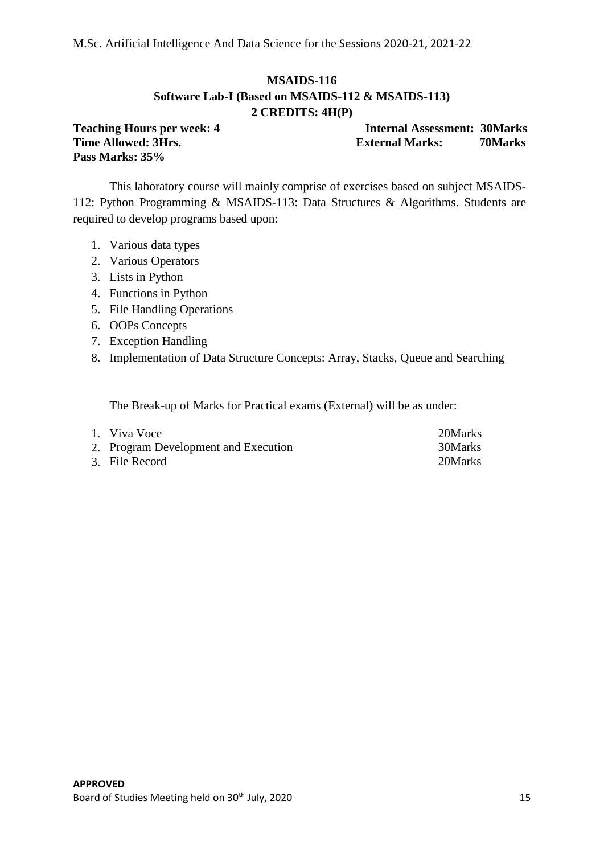## **MSAIDS-116 Software Lab-I (Based on MSAIDS-112 & MSAIDS-113) 2 CREDITS: 4H(P)**

**Pass Marks: 35%**

**Teaching Hours per week: 4 Internal Assessment: 30Marks Time Allowed: 3Hrs. External Marks: 70Marks**

This laboratory course will mainly comprise of exercises based on subject MSAIDS-112: Python Programming & MSAIDS-113: Data Structures & Algorithms. Students are required to develop programs based upon:

- 1. Various data types
- 2. Various Operators
- 3. Lists in Python
- 4. Functions in Python
- 5. File Handling Operations
- 6. OOPs Concepts
- 7. Exception Handling
- 8. Implementation of Data Structure Concepts: Array, Stacks, Queue and Searching

The Break-up of Marks for Practical exams (External) will be as under:

| 1. Viva Voce                         | 20Marks |
|--------------------------------------|---------|
| 2. Program Development and Execution | 30Marks |
| 3. File Record                       | 20Marks |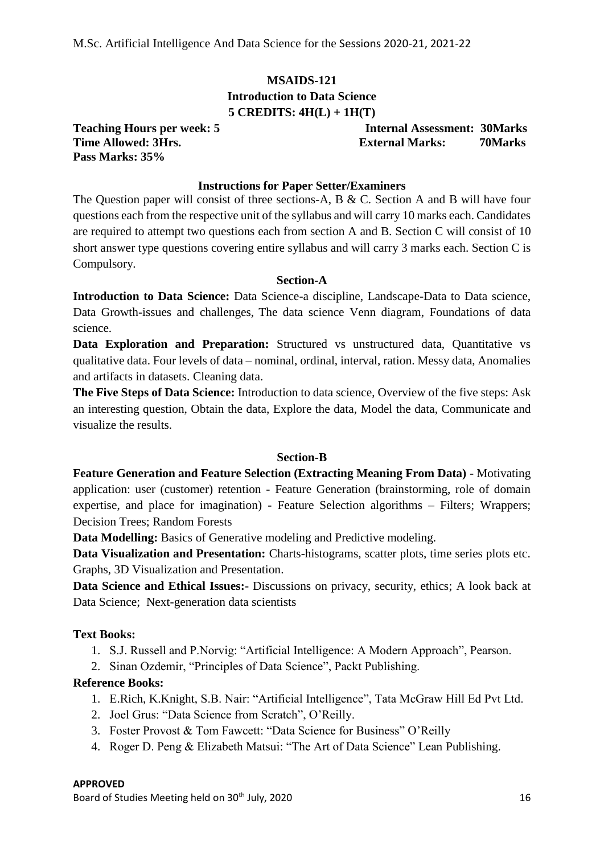## **MSAIDS-121 Introduction to Data Science 5 CREDITS: 4H(L) + 1H(T)**

**Pass Marks: 35%**

**Teaching Hours per week: 5 Internal Assessment: 30Marks Time Allowed: 3Hrs. External Marks: 70Marks**

## **Instructions for Paper Setter/Examiners**

The Question paper will consist of three sections-A, B & C. Section A and B will have four questions each from the respective unit of the syllabus and will carry 10 marks each. Candidates are required to attempt two questions each from section A and B. Section C will consist of 10 short answer type questions covering entire syllabus and will carry 3 marks each. Section C is Compulsory.

#### **Section-A**

**Introduction to Data Science:** Data Science-a discipline, Landscape-Data to Data science, Data Growth-issues and challenges, The data science Venn diagram, Foundations of data science.

**Data Exploration and Preparation:** Structured vs unstructured data, Quantitative vs qualitative data. Four levels of data – nominal, ordinal, interval, ration. Messy data, Anomalies and artifacts in datasets. Cleaning data.

**The Five Steps of Data Science:** Introduction to data science, Overview of the five steps: Ask an interesting question, Obtain the data, Explore the data, Model the data, Communicate and visualize the results.

#### **Section-B**

**Feature Generation and Feature Selection (Extracting Meaning From Data)** - Motivating application: user (customer) retention - Feature Generation (brainstorming, role of domain expertise, and place for imagination) - Feature Selection algorithms – Filters; Wrappers; Decision Trees; Random Forests

**Data Modelling:** Basics of Generative modeling and Predictive modeling.

**Data Visualization and Presentation:** Charts-histograms, scatter plots, time series plots etc. Graphs, 3D Visualization and Presentation.

**Data Science and Ethical Issues:**- Discussions on privacy, security, ethics; A look back at Data Science; Next-generation data scientists

#### **Text Books:**

- 1. S.J. Russell and P.Norvig: "Artificial Intelligence: A Modern Approach", Pearson.
- 2. Sinan Ozdemir, "Principles of Data Science", Packt Publishing.

## **Reference Books:**

- 1. E.Rich, K.Knight, S.B. Nair: "Artificial Intelligence", Tata McGraw Hill Ed Pvt Ltd.
- 2. Joel Grus: "Data Science from Scratch", O'Reilly.
- 3. Foster Provost & Tom Fawcett: "Data Science for Business" O'Reilly
- 4. Roger D. Peng & Elizabeth Matsui: "The Art of Data Science" Lean Publishing.

#### **APPROVED**

Board of Studies Meeting held on 30<sup>th</sup> July, 2020 16 and the studies of the studies of the studies of the studies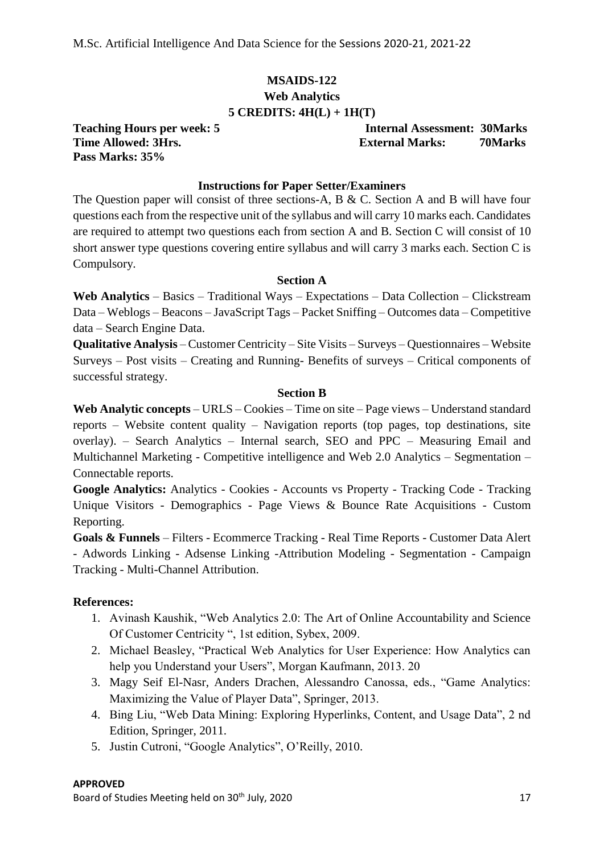## **MSAIDS-122**

**Web Analytics**

## **5 CREDITS: 4H(L) + 1H(T)**

**Pass Marks: 35%**

**Teaching Hours per week: 5 Internal Assessment: 30Marks Time Allowed: 3Hrs. External Marks: 70Marks**

## **Instructions for Paper Setter/Examiners**

The Question paper will consist of three sections-A, B & C. Section A and B will have four questions each from the respective unit of the syllabus and will carry 10 marks each. Candidates are required to attempt two questions each from section A and B. Section C will consist of 10 short answer type questions covering entire syllabus and will carry 3 marks each. Section C is Compulsory.

#### **Section A**

**Web Analytics** – Basics – Traditional Ways – Expectations – Data Collection – Clickstream Data – Weblogs – Beacons – JavaScript Tags – Packet Sniffing – Outcomes data – Competitive data – Search Engine Data.

**Qualitative Analysis** – Customer Centricity – Site Visits – Surveys – Questionnaires – Website Surveys – Post visits – Creating and Running- Benefits of surveys – Critical components of successful strategy.

## **Section B**

**Web Analytic concepts** – URLS – Cookies – Time on site – Page views – Understand standard reports – Website content quality – Navigation reports (top pages, top destinations, site overlay). – Search Analytics – Internal search, SEO and PPC – Measuring Email and Multichannel Marketing - Competitive intelligence and Web 2.0 Analytics – Segmentation – Connectable reports.

**Google Analytics:** Analytics - Cookies - Accounts vs Property - Tracking Code - Tracking Unique Visitors - Demographics - Page Views & Bounce Rate Acquisitions - Custom Reporting.

**Goals & Funnels** – Filters - Ecommerce Tracking - Real Time Reports - Customer Data Alert - Adwords Linking - Adsense Linking -Attribution Modeling - Segmentation - Campaign Tracking - Multi-Channel Attribution.

## **References:**

- 1. Avinash Kaushik, "Web Analytics 2.0: The Art of Online Accountability and Science Of Customer Centricity ", 1st edition, Sybex, 2009.
- 2. Michael Beasley, "Practical Web Analytics for User Experience: How Analytics can help you Understand your Users", Morgan Kaufmann, 2013. 20
- 3. Magy Seif El-Nasr, Anders Drachen, Alessandro Canossa, eds., "Game Analytics: Maximizing the Value of Player Data", Springer, 2013.
- 4. Bing Liu, "Web Data Mining: Exploring Hyperlinks, Content, and Usage Data", 2 nd Edition, Springer, 2011.
- 5. Justin Cutroni, "Google Analytics", O'Reilly, 2010.

#### **APPROVED**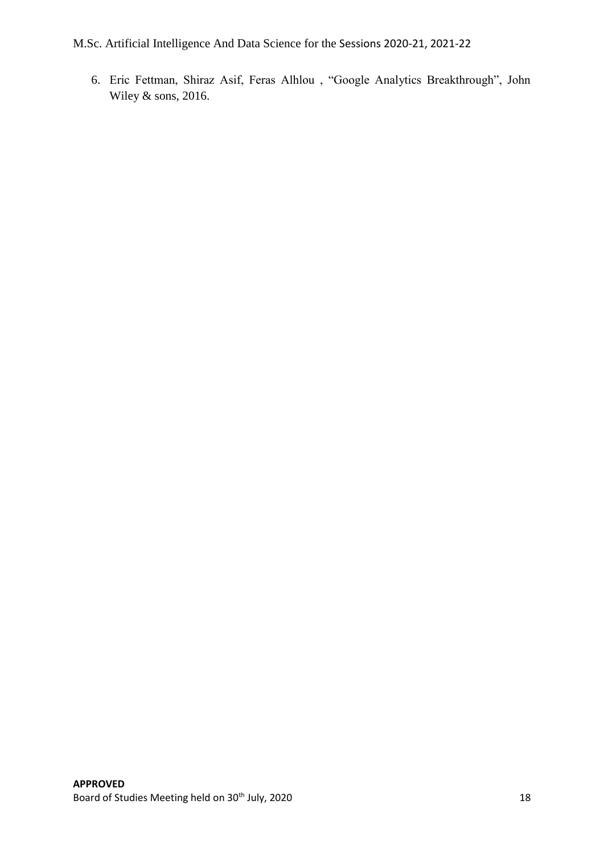6. Eric Fettman, Shiraz Asif, Feras Alhlou , "Google Analytics Breakthrough", John Wiley & sons, 2016.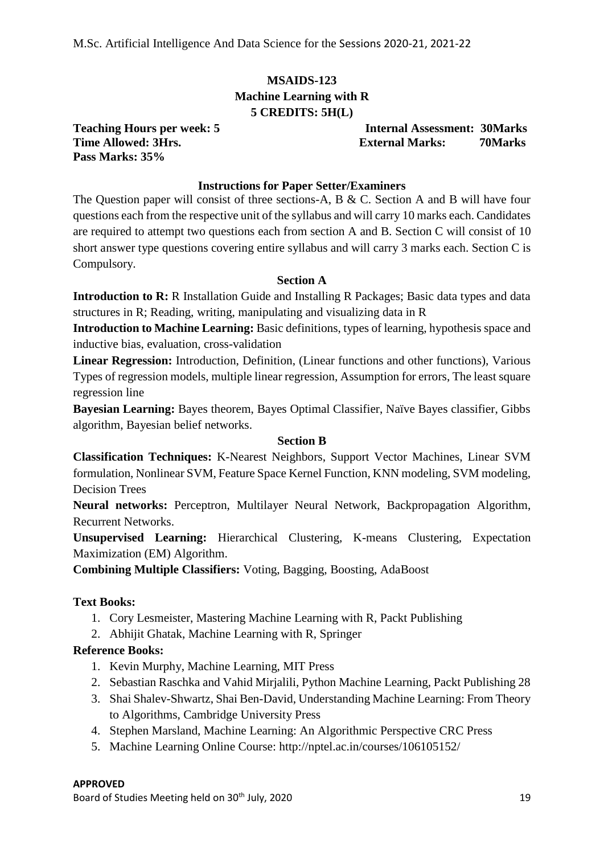## **MSAIDS-123 Machine Learning with R 5 CREDITS: 5H(L)**

**Pass Marks: 35%**

**Teaching Hours per week: 5 Internal Assessment: 30Marks Time Allowed: 3Hrs. External Marks: 70Marks**

## **Instructions for Paper Setter/Examiners**

The Question paper will consist of three sections-A, B & C. Section A and B will have four questions each from the respective unit of the syllabus and will carry 10 marks each. Candidates are required to attempt two questions each from section A and B. Section C will consist of 10 short answer type questions covering entire syllabus and will carry 3 marks each. Section C is Compulsory.

## **Section A**

**Introduction to R:** R Installation Guide and Installing R Packages; Basic data types and data structures in R; Reading, writing, manipulating and visualizing data in R

**Introduction to Machine Learning:** Basic definitions, types of learning, hypothesis space and inductive bias, evaluation, cross-validation

**Linear Regression:** Introduction, Definition, (Linear functions and other functions), Various Types of regression models, multiple linear regression, Assumption for errors, The least square regression line

**Bayesian Learning:** Bayes theorem, Bayes Optimal Classifier, Naïve Bayes classifier, Gibbs algorithm, Bayesian belief networks.

#### **Section B**

**Classification Techniques:** K-Nearest Neighbors, Support Vector Machines, Linear SVM formulation, Nonlinear SVM, Feature Space Kernel Function, KNN modeling, SVM modeling, Decision Trees

**Neural networks:** Perceptron, Multilayer Neural Network, Backpropagation Algorithm, Recurrent Networks.

**Unsupervised Learning:** Hierarchical Clustering, K-means Clustering, Expectation Maximization (EM) Algorithm.

**Combining Multiple Classifiers:** Voting, Bagging, Boosting, AdaBoost

## **Text Books:**

- 1. Cory Lesmeister, Mastering Machine Learning with R, Packt Publishing
- 2. Abhijit Ghatak, Machine Learning with R, Springer

## **Reference Books:**

- 1. Kevin Murphy, Machine Learning, MIT Press
- 2. Sebastian Raschka and Vahid Mirjalili, Python Machine Learning, Packt Publishing 28
- 3. Shai Shalev-Shwartz, Shai Ben-David, Understanding Machine Learning: From Theory to Algorithms, Cambridge University Press
- 4. Stephen Marsland, Machine Learning: An Algorithmic Perspective CRC Press
- 5. Machine Learning Online Course: http://nptel.ac.in/courses/106105152/

#### **APPROVED**

Board of Studies Meeting held on 30<sup>th</sup> July, 2020 19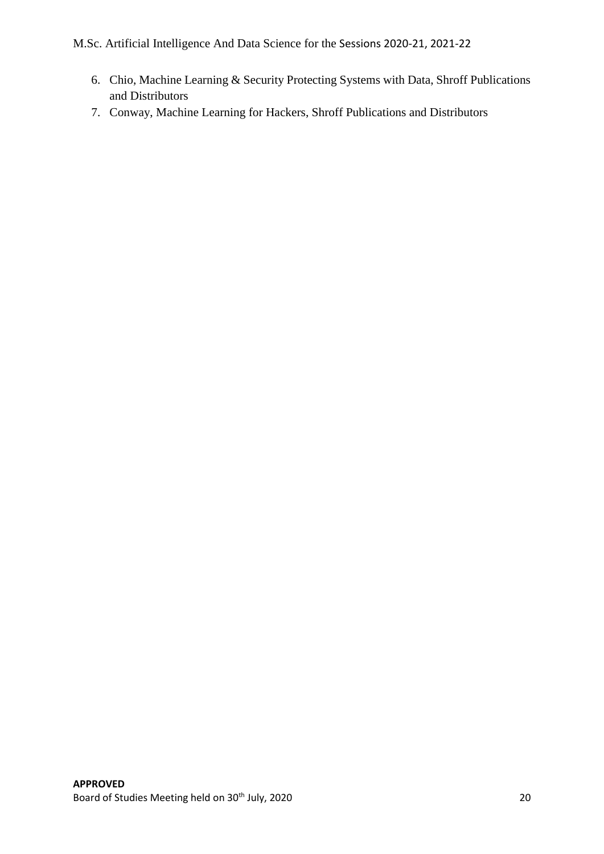- 6. Chio, Machine Learning & Security Protecting Systems with Data, Shroff Publications and Distributors
- 7. Conway, Machine Learning for Hackers, Shroff Publications and Distributors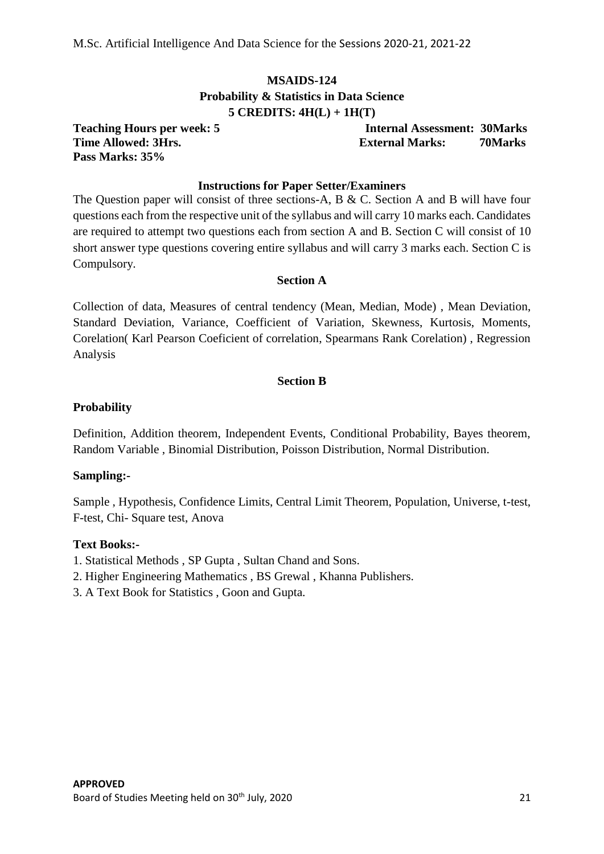## **MSAIDS-124 Probability & Statistics in Data Science 5 CREDITS: 4H(L) + 1H(T)**

**Pass Marks: 35%**

**Teaching Hours per week: 5 Internal Assessment: 30Marks Time Allowed: 3Hrs. External Marks: 70Marks**

#### **Instructions for Paper Setter/Examiners**

The Question paper will consist of three sections-A, B & C. Section A and B will have four questions each from the respective unit of the syllabus and will carry 10 marks each. Candidates are required to attempt two questions each from section A and B. Section C will consist of 10 short answer type questions covering entire syllabus and will carry 3 marks each. Section C is Compulsory.

#### **Section A**

Collection of data, Measures of central tendency (Mean, Median, Mode) , Mean Deviation, Standard Deviation, Variance, Coefficient of Variation, Skewness, Kurtosis, Moments, Corelation( Karl Pearson Coeficient of correlation, Spearmans Rank Corelation) , Regression Analysis

#### **Section B**

#### **Probability**

Definition, Addition theorem, Independent Events, Conditional Probability, Bayes theorem, Random Variable , Binomial Distribution, Poisson Distribution, Normal Distribution.

#### **Sampling:-**

Sample , Hypothesis, Confidence Limits, Central Limit Theorem, Population, Universe, t-test, F-test, Chi- Square test, Anova

#### **Text Books:-**

- 1. Statistical Methods , SP Gupta , Sultan Chand and Sons.
- 2. Higher Engineering Mathematics , BS Grewal , Khanna Publishers.
- 3. A Text Book for Statistics , Goon and Gupta.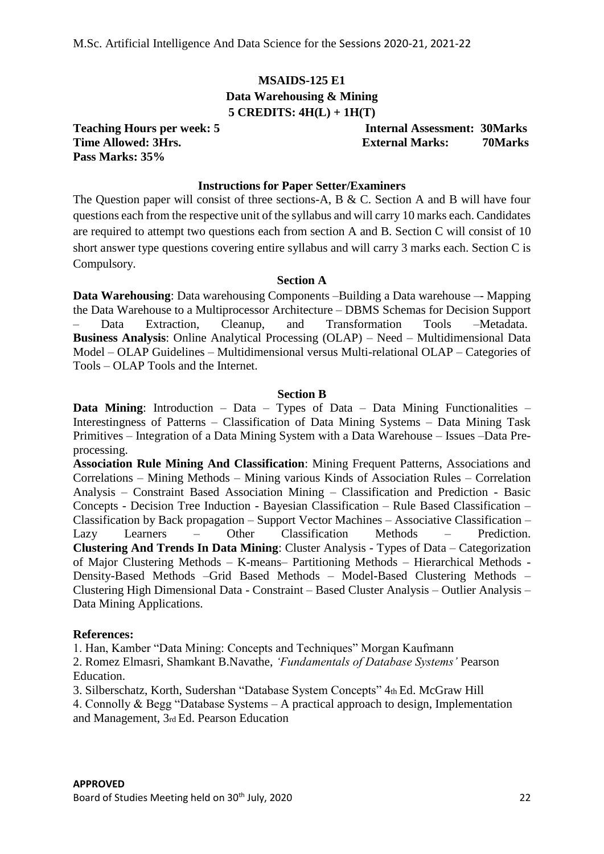## **MSAIDS-125 E1 Data Warehousing & Mining 5 CREDITS: 4H(L) + 1H(T)**

**Pass Marks: 35%**

**Teaching Hours per week: 5 Internal Assessment: 30Marks Time Allowed: 3Hrs.** External Marks: 70Marks: 70Marks

#### **Instructions for Paper Setter/Examiners**

The Question paper will consist of three sections-A, B & C. Section A and B will have four questions each from the respective unit of the syllabus and will carry 10 marks each. Candidates are required to attempt two questions each from section A and B. Section C will consist of 10 short answer type questions covering entire syllabus and will carry 3 marks each. Section C is Compulsory.

#### **Section A**

**Data Warehousing**: Data warehousing Components –Building a Data warehouse –- Mapping the Data Warehouse to a Multiprocessor Architecture – DBMS Schemas for Decision Support – Data Extraction, Cleanup, and Transformation Tools –Metadata. **Business Analysis**: Online Analytical Processing (OLAP) – Need – Multidimensional Data Model – OLAP Guidelines – Multidimensional versus Multi-relational OLAP – Categories of Tools – OLAP Tools and the Internet.

#### **Section B**

**Data Mining**: Introduction – Data – Types of Data – Data Mining Functionalities – Interestingness of Patterns – Classification of Data Mining Systems – Data Mining Task Primitives – Integration of a Data Mining System with a Data Warehouse – Issues –Data Preprocessing.

**Association Rule Mining And Classification**: Mining Frequent Patterns, Associations and Correlations – Mining Methods – Mining various Kinds of Association Rules – Correlation Analysis – Constraint Based Association Mining – Classification and Prediction - Basic Concepts - Decision Tree Induction - Bayesian Classification – Rule Based Classification – Classification by Back propagation – Support Vector Machines – Associative Classification – Lazy Learners – Other Classification Methods – Prediction. **Clustering And Trends In Data Mining**: Cluster Analysis - Types of Data – Categorization of Major Clustering Methods – K-means– Partitioning Methods – Hierarchical Methods - Density-Based Methods –Grid Based Methods – Model-Based Clustering Methods – Clustering High Dimensional Data - Constraint – Based Cluster Analysis – Outlier Analysis – Data Mining Applications.

#### **References:**

1. Han, Kamber "Data Mining: Concepts and Techniques" Morgan Kaufmann

2. Romez Elmasri, Shamkant B.Navathe, *'Fundamentals of Database Systems'* Pearson Education.

3. Silberschatz, Korth, Sudershan "Database System Concepts" 4th Ed. McGraw Hill

4. Connolly & Begg "Database Systems – A practical approach to design, Implementation and Management, 3rd Ed. Pearson Education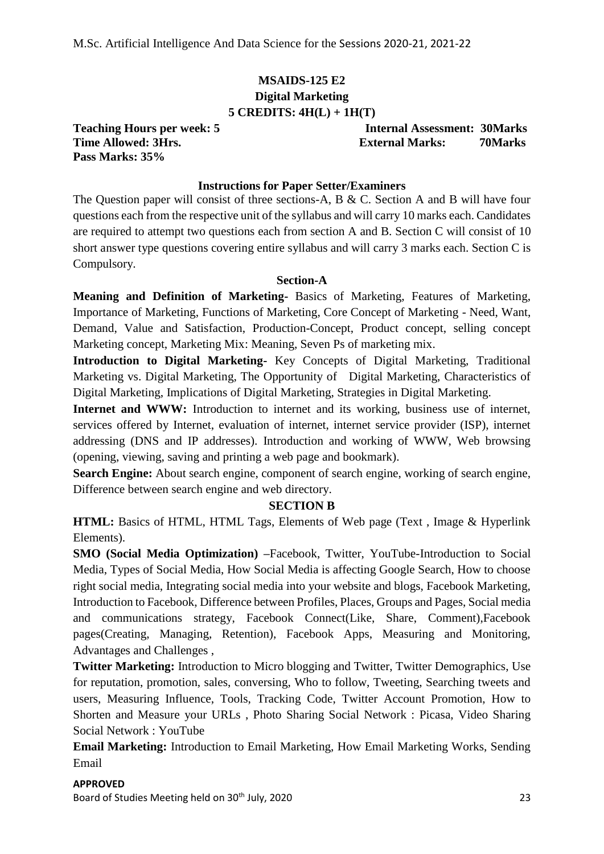## **MSAIDS-125 E2 Digital Marketing 5 CREDITS: 4H(L) + 1H(T)**

**Pass Marks: 35%**

**Teaching Hours per week: 5 Internal Assessment: 30Marks Time Allowed: 3Hrs.** External Marks: 70Marks

## **Instructions for Paper Setter/Examiners**

The Question paper will consist of three sections-A, B & C. Section A and B will have four questions each from the respective unit of the syllabus and will carry 10 marks each. Candidates are required to attempt two questions each from section A and B. Section C will consist of 10 short answer type questions covering entire syllabus and will carry 3 marks each. Section C is Compulsory.

#### **Section-A**

**Meaning and Definition of Marketing-** Basics of Marketing, Features of Marketing, Importance of Marketing, Functions of Marketing, Core Concept of Marketing - Need, Want, Demand, Value and Satisfaction, Production-Concept, Product concept, selling concept Marketing concept, Marketing Mix: Meaning, Seven Ps of marketing mix.

**Introduction to Digital Marketing-** Key Concepts of Digital Marketing, Traditional Marketing vs. Digital Marketing, The Opportunity of Digital Marketing, Characteristics of Digital Marketing, Implications of Digital Marketing, Strategies in Digital Marketing.

Internet and WWW: Introduction to internet and its working, business use of internet, services offered by Internet, evaluation of internet, internet service provider (ISP), internet addressing (DNS and IP addresses). Introduction and working of WWW, Web browsing (opening, viewing, saving and printing a web page and bookmark).

**Search Engine:** About search engine, component of search engine, working of search engine, Difference between search engine and web directory.

#### **SECTION B**

**HTML:** Basics of HTML, HTML Tags, Elements of Web page (Text , Image & Hyperlink Elements).

**SMO (Social Media Optimization) –**Facebook, Twitter, YouTube-Introduction to Social Media, Types of Social Media, How Social Media is affecting Google Search, How to choose right social media, Integrating social media into your website and blogs, Facebook Marketing, Introduction to Facebook, Difference between Profiles, Places, Groups and Pages, Social media and communications strategy, Facebook Connect(Like, Share, Comment),Facebook pages(Creating, Managing, Retention), Facebook Apps, Measuring and Monitoring, Advantages and Challenges ,

**Twitter Marketing:** Introduction to Micro blogging and Twitter, Twitter Demographics, Use for reputation, promotion, sales, conversing, Who to follow, Tweeting, Searching tweets and users, Measuring Influence, Tools, Tracking Code, Twitter Account Promotion, How to Shorten and Measure your URLs , Photo Sharing Social Network : Picasa, Video Sharing Social Network : YouTube

**Email Marketing:** Introduction to Email Marketing, How Email Marketing Works, Sending Email

## **APPROVED** Board of Studies Meeting held on 30<sup>th</sup> July, 2020 23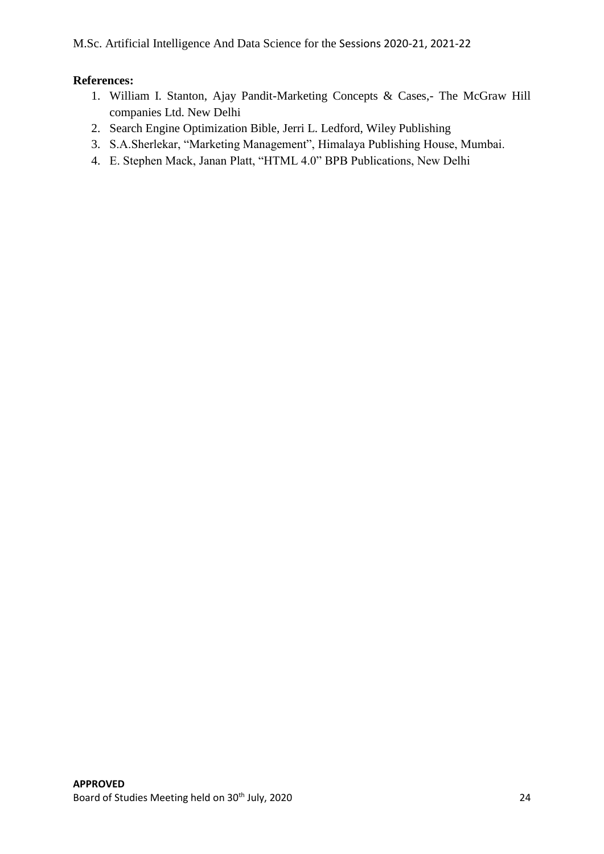## **References:**

- 1. William I. Stanton, Ajay Pandit-Marketing Concepts & Cases,- The McGraw Hill companies Ltd. New Delhi
- 2. Search Engine Optimization Bible, Jerri L. Ledford, Wiley Publishing
- 3. S.A.Sherlekar, "Marketing Management", Himalaya Publishing House, Mumbai.
- 4. E. Stephen Mack, Janan Platt, "HTML 4.0" BPB Publications, New Delhi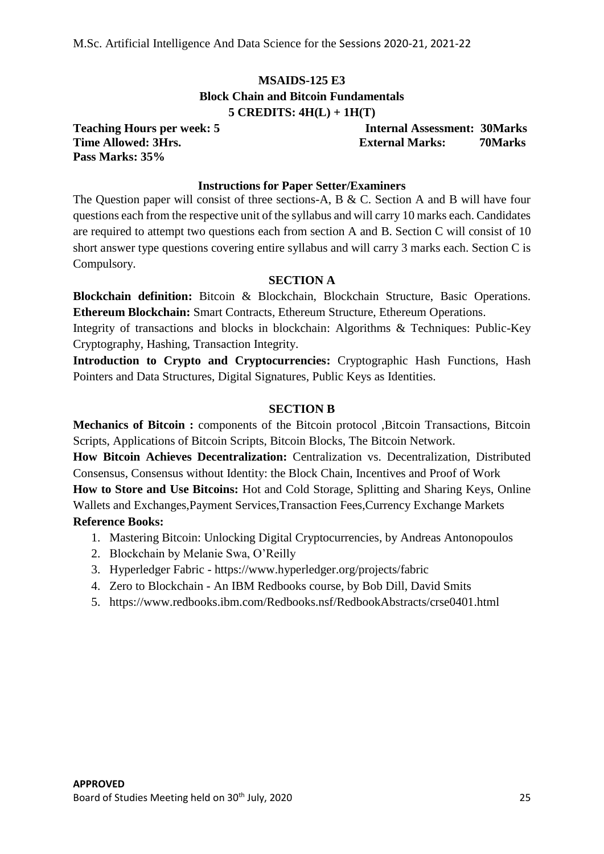## **MSAIDS-125 E3 Block Chain and Bitcoin Fundamentals 5 CREDITS: 4H(L) + 1H(T)**

**Pass Marks: 35%**

**Teaching Hours per week: 5 Internal Assessment: 30Marks Time Allowed: 3Hrs. External Marks: 70Marks**

## **Instructions for Paper Setter/Examiners**

The Question paper will consist of three sections-A, B & C. Section A and B will have four questions each from the respective unit of the syllabus and will carry 10 marks each. Candidates are required to attempt two questions each from section A and B. Section C will consist of 10 short answer type questions covering entire syllabus and will carry 3 marks each. Section C is Compulsory.

## **SECTION A**

**Blockchain definition:** Bitcoin & Blockchain, Blockchain Structure, Basic Operations. **Ethereum Blockchain:** Smart Contracts, Ethereum Structure, Ethereum Operations.

Integrity of transactions and blocks in blockchain: Algorithms & Techniques: Public-Key Cryptography, Hashing, Transaction Integrity.

**Introduction to Crypto and Cryptocurrencies:** Cryptographic Hash Functions, Hash Pointers and Data Structures, Digital Signatures, Public Keys as Identities.

## **SECTION B**

**Mechanics of Bitcoin :** components of the Bitcoin protocol ,Bitcoin Transactions, Bitcoin Scripts, Applications of Bitcoin Scripts, Bitcoin Blocks, The Bitcoin Network.

**How Bitcoin Achieves Decentralization:** Centralization vs. Decentralization, Distributed Consensus, Consensus without Identity: the Block Chain, Incentives and Proof of Work **How to Store and Use Bitcoins:** Hot and Cold Storage, Splitting and Sharing Keys, Online Wallets and Exchanges,Payment Services,Transaction Fees,Currency Exchange Markets

## **Reference Books:**

- 1. Mastering Bitcoin: Unlocking Digital Cryptocurrencies, by Andreas Antonopoulos
- 2. Blockchain by Melanie Swa, O'Reilly
- 3. Hyperledger Fabric https://www.hyperledger.org/projects/fabric
- 4. Zero to Blockchain An IBM Redbooks course, by Bob Dill, David Smits
- 5. https://www.redbooks.ibm.com/Redbooks.nsf/RedbookAbstracts/crse0401.html